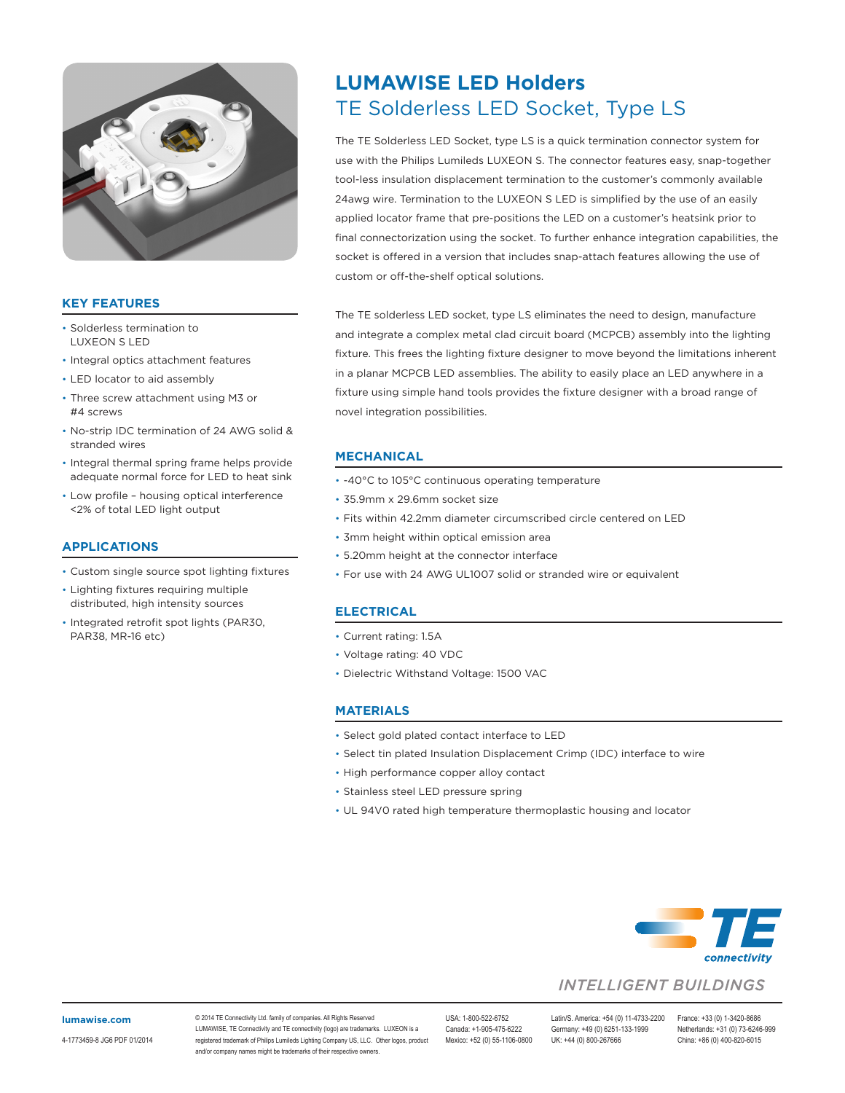

## **KEY FEATURES**

- Solderless termination to LUXEON S LED
- Integral optics attachment features
- LED locator to aid assembly
- Three screw attachment using M3 or #4 screws
- No-strip IDC termination of 24 AWG solid & stranded wires
- Integral thermal spring frame helps provide adequate normal force for LED to heat sink
- Low profile housing optical interference <2% of total LED light output

### **APPLICATIONS**

- Custom single source spot lighting fixtures
- Lighting fixtures requiring multiple distributed, high intensity sources
- Integrated retrofit spot lights (PAR30, PAR38, MR-16 etc)

# TE Solderless LED Socket, Type LS **LUMAWISE LED Holders**

The TE Solderless LED Socket, type LS is a quick termination connector system for use with the Philips Lumileds LUXEON S. The connector features easy, snap-together tool-less insulation displacement termination to the customer's commonly available 24awg wire. Termination to the LUXEON S LED is simplified by the use of an easily applied locator frame that pre-positions the LED on a customer's heatsink prior to final connectorization using the socket. To further enhance integration capabilities, the socket is offered in a version that includes snap-attach features allowing the use of custom or off-the-shelf optical solutions.

The TE solderless LED socket, type LS eliminates the need to design, manufacture and integrate a complex metal clad circuit board (MCPCB) assembly into the lighting fixture. This frees the lighting fixture designer to move beyond the limitations inherent in a planar MCPCB LED assemblies. The ability to easily place an LED anywhere in a fixture using simple hand tools provides the fixture designer with a broad range of novel integration possibilities.

## **MECHANICAL**

- -40°C to 105°C continuous operating temperature
- 35.9mm x 29.6mm socket size
- Fits within 42.2mm diameter circumscribed circle centered on LED
- 3mm height within optical emission area
- 5.20mm height at the connector interface
- For use with 24 AWG UL1007 solid or stranded wire or equivalent

#### **ELECTRICAL**

- Current rating: 1.5A
- Voltage rating: 40 VDC
- Dielectric Withstand Voltage: 1500 VAC

#### **MATERIALS**

- Select gold plated contact interface to LED
- Select tin plated Insulation Displacement Crimp (IDC) interface to wire
- High performance copper alloy contact
- Stainless steel LED pressure spring
- UL 94V0 rated high temperature thermoplastic housing and locator



## **INTELLIGENT BUILDINGS**

#### **[lumawise.com](http://lumawise.com)**

4-1773459-8 JG6 PDF 01/2014

© 2014 TE Connectivity Ltd. family of companies. All Rights Reserved LUMAWISE, TE Connectivity and TE connectivity (logo) are trademarks. LUXEON is a registered trademark of Philips Lumileds Lighting Company US, LLC. Other logos, product and/or company names might be trademarks of their respective owners.

Mexico: +52 (0) 55-1106-0800 UK: +44 (0) 800-267666

USA: 1-800-522-6752 Latin/S. America: +54 (0) 11-4733-2200 France: +33 (0) 1-3420-8686 Germany: +49 (0) 6251-133-1999 Netherlands: +31 (0) 73-6246-999<br>UK: +44 (0) 800-267666 China: +86 (0) 400-820-6015